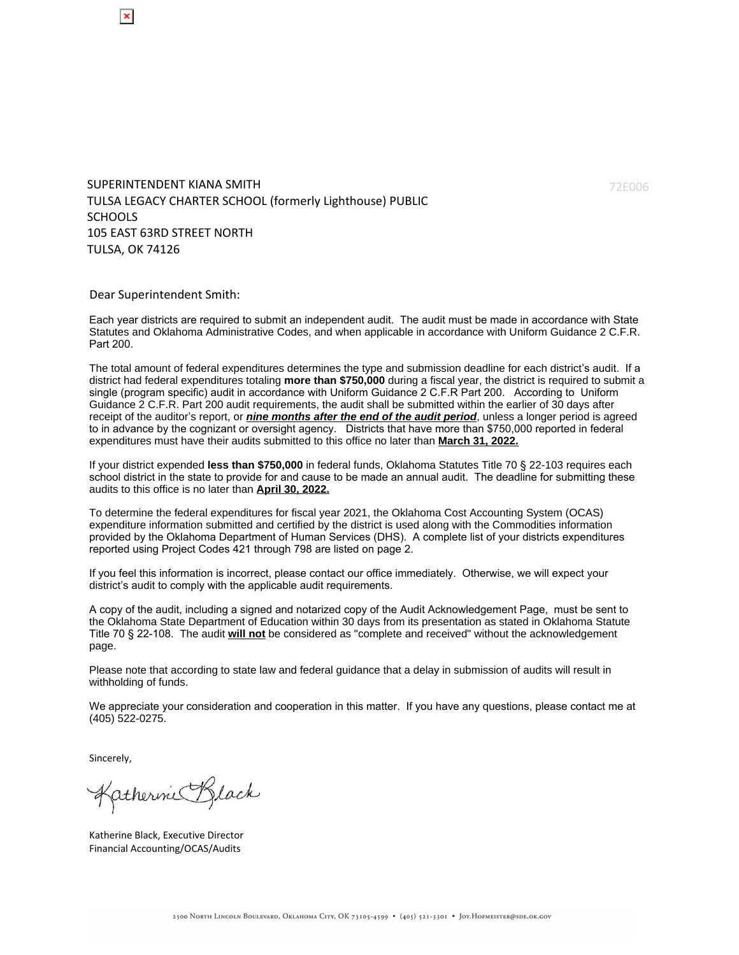SUPERINTENDENT KIANA SMITH TULSA LEGACY CHARTER SCHOOL (formerly Lighthouse) PUBLIC SCHOOLS 105 EAST 63RD STREET NORTH TULSA, OK 74126

Dear Superintendent Smith:

Each year districts are required to submit an independent audit. The audit must be made in accordance with State Statutes and Oklahoma Administrative Codes, and when applicable in accordance with Uniform Guidance 2 C.F.R. Part 200.

The total amount of federal expenditures determines the type and submission deadline for each district's audit. If a district had federal expenditures totaling **more than \$750,000** during a fiscal year, the district is required to submit a single (program specific) audit in accordance with Uniform Guidance 2 C.F.R Part 200. According to Uniform Guidance 2 C.F.R. Part 200 audit requirements, the audit shall be submitted within the earlier of 30 days after receipt of the auditor's report, or *nine months after the end of the audit period*, unless a longer period is agreed to in advance by the cognizant or oversight agency. Districts that have more than \$750,000 reported in federal expenditures must have their audits submitted to this office no later than **March 31, 2022.**

If your district expended **less than \$750,000** in federal funds, Oklahoma Statutes Title 70 § 22-103 requires each school district in the state to provide for and cause to be made an annual audit. The deadline for submitting these audits to this office is no later than **April 30, 2022.**

To determine the federal expenditures for fiscal year 2021, the Oklahoma Cost Accounting System (OCAS) expenditure information submitted and certified by the district is used along with the Commodities information provided by the Oklahoma Department of Human Services (DHS). A complete list of your districts expenditures reported using Project Codes 421 through 798 are listed on page 2.

If you feel this information is incorrect, please contact our office immediately. Otherwise, we will expect your district's audit to comply with the applicable audit requirements.

A copy of the audit, including a signed and notarized copy of the Audit Acknowledgement Page, must be sent to the Oklahoma State Department of Education within 30 days from its presentation as stated in Oklahoma Statute Title 70 § 22-108. The audit **will not** be considered as "complete and received" without the acknowledgement page.

Please note that according to state law and federal guidance that a delay in submission of audits will result in withholding of funds.

We appreciate your consideration and cooperation in this matter. If you have any questions, please contact me at (405) 522-0275.

Sincerely,

Katherine Black

Katherine Black, Executive Director Financial Accounting/OCAS/Audits

72E006